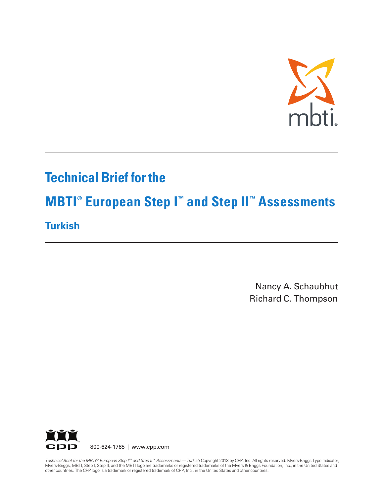

# **Technical Brief for the**

# **MBTI ® European Step I ™ and Step II ™ Assessments**

# **Turkish**

Nancy A. Schaubhut Richard C. Thompson



800-624-1765 | www.cpp.com

Technical Brief for the MBTI® European Step I™ and Step II™ Assessments—Turkish Copyright 2013 by CPP, Inc. All rights reserved. Myers-Briggs Type Indicator, Myers-Briggs, MBTI, Step I, Step II, and the MBTI logo are trademarks or registered trademarks of the Myers & Briggs Foundation, Inc., in the United States and other countries. The CPP logo is a trademark or registered trademark of CPP, Inc., in the United States and other countries.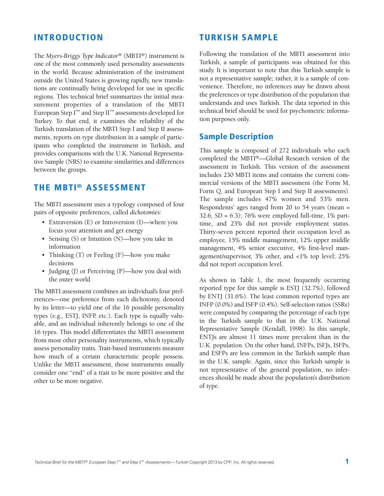#### **INTRODUCTION**

The *Myers-Briggs Type Indicator®* (MBTI®) instrument is one of the most commonly used personality assessments in the world. Because administration of the instrument outside the United States is growing rapidly, new translations are continually being developed for use in specific regions. This technical brief summarizes the initial measurement properties of a translation of the MBTI European Step I ™ and Step II ™ assessments developed for Turkey. To that end, it examines the reliability of the Turkish translation of the MBTI Step I and Step II assessments, reports on type distribution in a sample of participants who completed the instrument in Turkish, and provides comparisons with the U.K. National Representative Sample (NRS) to examine similarities and differences between the groups.

#### **THE MBTI® ASSESSMENT**

The MBTI assessment uses a typology composed of four pairs of opposite preferences, called *dichotomies:*

- Extraversion (E) or Introversion (I)—where you focus your attention and get energy
- Sensing (S) or Intuition (N)—how you take in information
- Thinking (T) or Feeling (F)—how you make decisions
- Judging (J) or Perceiving (P)—how you deal with the outer world

The MBTI assessment combines an individual's four preferences—one preference from each dichotomy, denoted by its letter—to yield one of the 16 possible personality types (e.g., ESTJ, INFP, etc.). Each type is equally valuable, and an individual inherently belongs to one of the 16 types. This model differentiates the MBTI assessment from most other personality instruments, which typically assess personality traits. Trait-based instruments measure how much of a certain characteristic people possess. Unlike the MBTI assessment, those instruments usually consider one "end" of a trait to be more positive and the other to be more negative.

#### **TURKISH SAMPLE**

Following the translation of the MBTI assessment into Turkish, a sample of participants was obtained for this study. It is important to note that this Turkish sample is not a representative sample; rather, it is a sample of convenience. Therefore, no inferences may be drawn about the preferences or type distribution of the population that understands and uses Turkish. The data reported in this technical brief should be used for psychometric information purposes only.

#### **Sample Description**

This sample is composed of 272 individuals who each completed the MBTI ®—Global Research version of the assessment in Turkish. This version of the assessment includes 230 MBTI items and contains the current commercial versions of the MBTI assessment (the Form M, Form Q, and European Step I and Step II assessments). The sample includes 47% women and 53% men. Respondents' ages ranged from 20 to 54 years (mean = 32.6, *SD* = 6.3); 76% were employed full-time, 1% parttime, and 23% did not provide employment status. Thirty-seven percent reported their occupation level as employee, 15% middle management, 12% upper middle management, 4% senior executive, 4% first-level management/supervisor, 3% other, and <1% top level; 25% did not report occupation level.

As shown in Table 1, the most frequently occurring reported type for this sample is ESTJ (32.7%), followed by ENTJ (31.6%). The least common reported types are INFP (0.0%) and ISFP (0.4%). Self-selection ratios(SSRs) were computed by comparing the percentage of each type in the Turkish sample to that in the U.K. National Representative Sample (Kendall, 1998). In this sample, ENTJs are almost 11 times more prevalent than in the U.K. population. On the other hand, INFPs, ISFJs, ISFPs, and ESFPs are less common in the Turkish sample than in the U.K. sample. Again, since this Turkish sample is not representative of the general population, no inferences should be made about the population's distribution of type.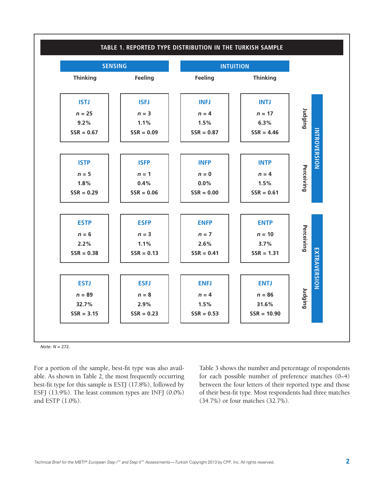

*Note: N* = 272.

For a portion of the sample, best-fit type was also available. As shown in Table 2, the most frequently occurring best-fit type for this sample is ESTJ (17.8%), followed by ESFJ (13.9%). The least common types are INFJ (0.0%) and ESTP (1.0%).

Table 3 shows the number and percentage of respondents for each possible number of preference matches (0–4) between the four letters of their reported type and those of their best-fit type. Most respondents had three matches (34.7%) or four matches (32.7%).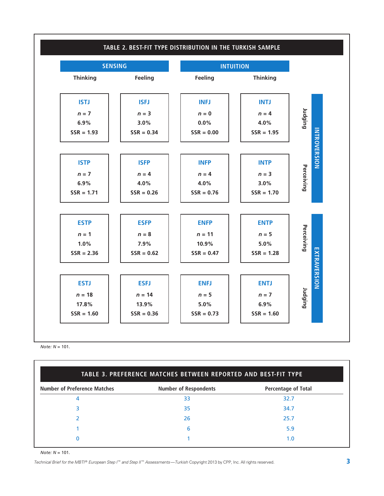

*Note: N* = 101.

| TABLE 3. PREFERENCE MATCHES BETWEEN REPORTED AND BEST-FIT TYPE |                              |                            |  |  |  |
|----------------------------------------------------------------|------------------------------|----------------------------|--|--|--|
| <b>Number of Preference Matches</b>                            | <b>Number of Respondents</b> | <b>Percentage of Total</b> |  |  |  |
| 4                                                              | 33                           | 32.7                       |  |  |  |
|                                                                | 35                           | 34.7                       |  |  |  |
|                                                                | 26                           | 25.7                       |  |  |  |
|                                                                | 6                            | 5.9                        |  |  |  |
|                                                                |                              | l .O                       |  |  |  |
|                                                                |                              |                            |  |  |  |

*Note: N* = 101.

Technical Brief for the MBTI® European Step I™ and Step II™ Assessments—Turkish Copyright 2013 by CPP, Inc. All rights reserved.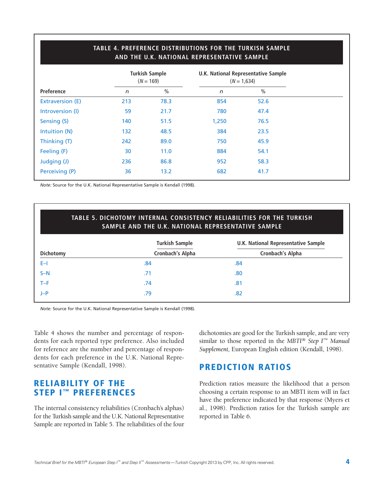|                         | AND THE U.K. NATIONAL REPRESENTATIVE SAMPLE |                                      |       |                                                      |  |  |  |
|-------------------------|---------------------------------------------|--------------------------------------|-------|------------------------------------------------------|--|--|--|
|                         |                                             | <b>Turkish Sample</b><br>$(N = 169)$ |       | U.K. National Representative Sample<br>$(N = 1,634)$ |  |  |  |
| Preference              | n                                           | $\frac{0}{0}$                        | n     | $\frac{0}{0}$                                        |  |  |  |
| <b>Extraversion (E)</b> | 213                                         | 78.3                                 | 854   | 52.6                                                 |  |  |  |
| Introversion (I)        | 59                                          | 21.7                                 | 780   | 47.4                                                 |  |  |  |
| Sensing (S)             | 140                                         | 51.5                                 | 1,250 | 76.5                                                 |  |  |  |
| Intuition (N)           | 132                                         | 48.5                                 | 384   | 23.5                                                 |  |  |  |
| Thinking (T)            | 242                                         | 89.0                                 | 750   | 45.9                                                 |  |  |  |
| Feeling (F)             | 30                                          | 11.0                                 | 884   | 54.1                                                 |  |  |  |
| Judging (J)             | 236                                         | 86.8                                 | 952   | 58.3                                                 |  |  |  |
| Perceiving (P)          | 36                                          | 13.2                                 | 682   | 41.7                                                 |  |  |  |
|                         |                                             |                                      |       |                                                      |  |  |  |

**TABLE 4. PREFERENCE DISTRIBUTIONS FOR THE TURKISH SAMPLE**

*Note:* Source for the U.K. National Representative Sample is Kendall (1998).

#### **TABLE 5. DICHOTOMY INTERNAL CONSISTENCY RELIABILITIES FOR THE TURKISH SAMPLE AND THE U.K. NATIONAL REPRESENTATIVE SAMPLE**

|           | <b>Turkish Sample</b> | U.K. National Representative Sample<br><b>Cronbach's Alpha</b> |  |  |
|-----------|-----------------------|----------------------------------------------------------------|--|--|
| Dichotomy | Cronbach's Alpha      |                                                                |  |  |
| E-I       | .84                   | .84                                                            |  |  |
| $S-N$     | .71                   | .80                                                            |  |  |
| $T-F$     | .74                   | .81                                                            |  |  |
| $J-P$     | .79                   | .82                                                            |  |  |
|           |                       |                                                                |  |  |

*Note:* Source for the U.K. National Representative Sample is Kendall (1998).

Table 4 shows the number and percentage of respondents for each reported type preference. Also included for reference are the number and percentage of respondents for each preference in the U.K. National Representative Sample (Kendall, 1998).

### **RELIABILITY OF THE STEP I™ PREFERENCES**

The internal consistency reliabilities (Cronbach's alphas) for the Turkish sample and the U.K. National Representative Sample are reported in Table 5. The reliabilities of the four dichotomies are good for the Turkish sample, and are very similar to those reported in the *MBTI*® *Step I*™ *Manual Supplement,* European English edition (Kendall, 1998).

#### **PREDICTION RATIOS**

Prediction ratios measure the likelihood that a person choosing a certain response to an MBTI item will in fact have the preference indicated by that response (Myers et al., 1998). Prediction ratios for the Turkish sample are reported in Table 6.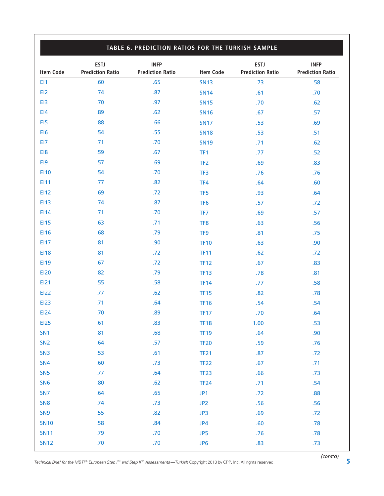|                  | TABLE 6. PREDICTION RATIOS FOR THE TURKISH SAMPLE |                                        |                  |                                        |                                        |  |  |
|------------------|---------------------------------------------------|----------------------------------------|------------------|----------------------------------------|----------------------------------------|--|--|
| <b>Item Code</b> | <b>ESTJ</b><br><b>Prediction Ratio</b>            | <b>INFP</b><br><b>Prediction Ratio</b> | <b>Item Code</b> | <b>ESTJ</b><br><b>Prediction Ratio</b> | <b>INFP</b><br><b>Prediction Ratio</b> |  |  |
| EI1              | .60                                               | .65                                    | <b>SN13</b>      | .73                                    | .58                                    |  |  |
| EI <sub>2</sub>  | .74                                               | .87                                    | <b>SN14</b>      | .61                                    | .70                                    |  |  |
| E <sub>13</sub>  | .70                                               | .97                                    | <b>SN15</b>      | .70                                    | .62                                    |  |  |
| E <sub>14</sub>  | .89                                               | .62                                    | <b>SN16</b>      | .67                                    | .57                                    |  |  |
| E <sub>15</sub>  | .88                                               | .66                                    | <b>SN17</b>      | .53                                    | .69                                    |  |  |
| EI6              | .54                                               | .55                                    | <b>SN18</b>      | .53                                    | .51                                    |  |  |
| EI7              | .71                                               | .70                                    | <b>SN19</b>      | .71                                    | .62                                    |  |  |
| EI8              | .59                                               | .67                                    | TF <sub>1</sub>  | .77                                    | .52                                    |  |  |
| E <sub>19</sub>  | .57                                               | .69                                    | TF <sub>2</sub>  | .69                                    | .83                                    |  |  |
| <b>EI10</b>      | .54                                               | .70                                    | TF3              | .76                                    | .76                                    |  |  |
| EI11             | .77                                               | .82                                    | TF4              | .64                                    | .60                                    |  |  |
| <b>EI12</b>      | .69                                               | .72                                    | TF <sub>5</sub>  | .93                                    | .64                                    |  |  |
| <b>EI13</b>      | .74                                               | .87                                    | TF <sub>6</sub>  | .57                                    | .72                                    |  |  |
| EI14             | .71                                               | .70                                    | TF7              | .69                                    | .57                                    |  |  |
| <b>EI15</b>      | .63                                               | .71                                    | TF <sub>8</sub>  | .63                                    | .56                                    |  |  |
| <b>EI16</b>      | .68                                               | .79                                    | TF <sub>9</sub>  | .81                                    | .75                                    |  |  |
| <b>EI17</b>      | .81                                               | .90                                    | <b>TF10</b>      | .63                                    | .90                                    |  |  |
| <b>EI18</b>      | .81                                               | .72                                    | <b>TF11</b>      | .62                                    | .72                                    |  |  |
| <b>EI19</b>      | .67                                               | .72                                    | <b>TF12</b>      | .67                                    | .83                                    |  |  |
| <b>EI20</b>      | .82                                               | .79                                    | <b>TF13</b>      | .78                                    | .81                                    |  |  |
| EI21             | .55                                               | .58                                    | <b>TF14</b>      | .77                                    | .58                                    |  |  |
| <b>EI22</b>      | .77                                               | .62                                    | <b>TF15</b>      | .82                                    | .78                                    |  |  |
| <b>EI23</b>      | .71                                               | .64                                    | <b>TF16</b>      | .54                                    | .54                                    |  |  |
| <b>EI24</b>      | .70                                               | .89                                    | <b>TF17</b>      | .70                                    | .64                                    |  |  |
| <b>EI25</b>      | .61                                               | .83                                    | <b>TF18</b>      | 1.00                                   | .53                                    |  |  |
| SN <sub>1</sub>  | .81                                               | .68                                    | <b>TF19</b>      | .64                                    | .90                                    |  |  |
| SN <sub>2</sub>  | .64                                               | .57                                    | <b>TF20</b>      | .59                                    | .76                                    |  |  |
| SN <sub>3</sub>  | .53                                               | .61                                    | <b>TF21</b>      | .87                                    | .72                                    |  |  |
| <b>SN4</b>       | .60                                               | .73                                    | <b>TF22</b>      | .67                                    | .71                                    |  |  |
| SN <sub>5</sub>  | .77                                               | .64                                    | <b>TF23</b>      | .66                                    | .73                                    |  |  |
| <b>SN6</b>       | .80                                               | .62                                    | <b>TF24</b>      | .71                                    | .54                                    |  |  |
| SN <sub>7</sub>  | .64                                               | .65                                    | JP1              | .72                                    | .88                                    |  |  |
| SN <sub>8</sub>  | .74                                               | .73                                    | JP <sub>2</sub>  | .56                                    | .56                                    |  |  |
| SN <sub>9</sub>  | .55                                               | .82                                    | JP3              | .69                                    | .72                                    |  |  |
| <b>SN10</b>      | .58                                               | .84                                    | JP4              | .60                                    | .78                                    |  |  |
| <b>SN11</b>      | .79                                               | .70                                    | JP5              | .76                                    | .78                                    |  |  |
| <b>SN12</b>      | .70                                               | .70                                    | JP <sub>6</sub>  | .83                                    | .73                                    |  |  |

*Technical Brief for the MBTI* ® *European Step <sup>I</sup>*™ *and Step II*™ *Assessments*—*Turkish* Copyright <sup>2013</sup> by CPP, Inc. All rights reserved. **5**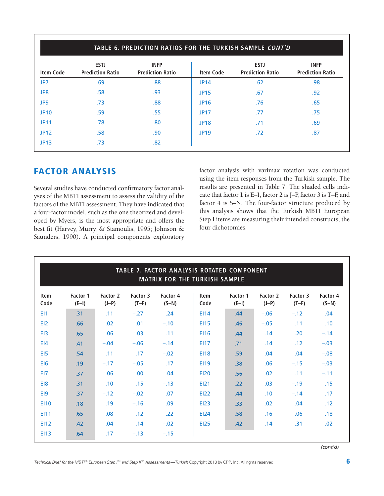| <b>Item Code</b> | <b>ESTJ</b><br><b>Prediction Ratio</b> | <b>INFP</b><br><b>Prediction Ratio</b> | <b>Item Code</b> | <b>ESTJ</b><br><b>Prediction Ratio</b> | <b>INFP</b><br><b>Prediction Ratio</b> |
|------------------|----------------------------------------|----------------------------------------|------------------|----------------------------------------|----------------------------------------|
| JP7              | .69                                    | .88                                    | <b>JP14</b>      | .62                                    | .98                                    |
| JP8              | .58                                    | .93                                    | <b>JP15</b>      | .67                                    | .92                                    |
| JP9              | .73                                    | .88                                    | <b>JP16</b>      | .76                                    | .65                                    |
| <b>JP10</b>      | .59                                    | .55                                    | <b>JP17</b>      | .77                                    | .75                                    |
| <b>JP11</b>      | .78                                    | .80                                    | <b>JP18</b>      | .71                                    | .69                                    |
| <b>JP12</b>      | .58                                    | .90                                    | <b>JP19</b>      | .72                                    | .87                                    |
| <b>JP13</b>      | .73                                    | .82                                    |                  |                                        |                                        |

## **FACTOR ANALYSIS**

Several studies have conducted confirmatory factor analyses of the MBTI assessment to assess the validity of the factors of the MBTI assessment. They have indicated that a four-factor model, such as the one theorized and developed by Myers, is the most appropriate and offers the best fit (Harvey, Murry, & Stamoulis, 1995; Johnson & Saunders, 1990). A principal components exploratory factor analysis with varimax rotation was conducted using the item responses from the Turkish sample. The results are presented in Table 7. The shaded cells indicate that factor 1 is E–I, factor 2 is J–P, factor 3 is T–F, and factor 4 is S–N. The four-factor structure produced by this analysis shows that the Turkish MBTI European Step I items are measuring their intended constructs, the four dichotomies.

| TABLE 7. FACTOR ANALYSIS ROTATED COMPONENT<br><b>MATRIX FOR THE TURKISH SAMPLE</b> |                     |                     |                     |                            |                     |                     |                     |                     |                     |
|------------------------------------------------------------------------------------|---------------------|---------------------|---------------------|----------------------------|---------------------|---------------------|---------------------|---------------------|---------------------|
| <b>Item</b><br>Code                                                                | Factor 1<br>$(E-I)$ | Factor 2<br>$(J-P)$ | Factor 3<br>$(T-F)$ | <b>Factor 4</b><br>$(S-N)$ | <b>Item</b><br>Code | Factor 1<br>$(E-I)$ | Factor 2<br>$(J-P)$ | Factor 3<br>$(T-F)$ | Factor 4<br>$(S-N)$ |
| E <sub>11</sub>                                                                    | .31                 | .11                 | $-.27$              | .24                        | <b>EI14</b>         | .44                 | $-.06$              | $-.12$              | .04                 |
| EI <sub>2</sub>                                                                    | .66                 | .02                 | .01                 | $-.10$                     | <b>EI15</b>         | .46                 | $-.05$              | .11                 | .10                 |
| E <sub>13</sub>                                                                    | .65                 | .06                 | .03                 | .11                        | <b>EI16</b>         | .44                 | .14                 | .20                 | $-.14$              |
| E <sub>14</sub>                                                                    | .41                 | $-.04$              | $-.06$              | $-.14$                     | <b>EI17</b>         | .71                 | .14                 | .12                 | $-.03$              |
| E <sub>15</sub>                                                                    | .54                 | .11                 | .17                 | $-.02$                     | <b>EI18</b>         | .59                 | .04                 | .04                 | $-.08$              |
| EI <sub>6</sub>                                                                    | .19                 | $-.17$              | $-.05$              | .17                        | <b>EI19</b>         | .38                 | .06                 | $-.15$              | $-.03$              |
| EI7                                                                                | .37                 | .06                 | .00                 | .04                        | <b>EI20</b>         | .56                 | .02                 | .11                 | $-.11$              |
| EI8                                                                                | .31                 | .10                 | .15                 | $-.13$                     | EI21                | .22                 | .03                 | $-.19$              | .15                 |
| E <sub>19</sub>                                                                    | .37                 | $-.12$              | $-.02$              | .07                        | <b>EI22</b>         | .44                 | .10                 | $-.14$              | .17                 |
| <b>EI10</b>                                                                        | .18                 | .19                 | $-.16$              | .09                        | <b>EI23</b>         | .33                 | .02                 | .04                 | .12                 |
| E111                                                                               | .65                 | .08                 | $-.12$              | $-.22$                     | <b>EI24</b>         | .58                 | .16                 | $-.06$              | $-.18$              |
| <b>EI12</b>                                                                        | .42                 | .04                 | .14                 | $-.02$                     | <b>EI25</b>         | .42                 | .14                 | .31                 | .02                 |
| <b>EI13</b>                                                                        | .64                 | .17                 | $-.13$              | $-.15$                     |                     |                     |                     |                     |                     |

*(cont'd)*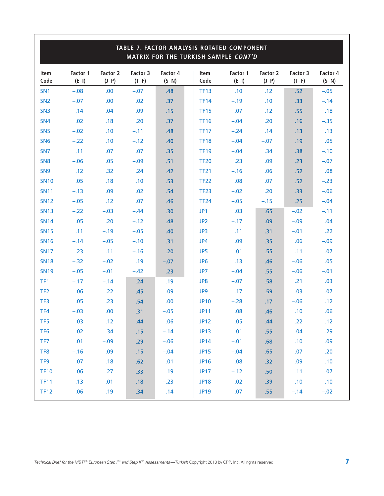| TABLE 7. FACTOR ANALYSIS ROTATED COMPONENT<br>MATRIX FOR THE TURKISH SAMPLE CONT'D |                     |                     |                     |                     |  |                     |                     |                     |                     |                     |
|------------------------------------------------------------------------------------|---------------------|---------------------|---------------------|---------------------|--|---------------------|---------------------|---------------------|---------------------|---------------------|
| <b>Item</b><br>Code                                                                | Factor 1<br>$(E-I)$ | Factor 2<br>$(J-P)$ | Factor 3<br>$(T-F)$ | Factor 4<br>$(S-N)$ |  | <b>Item</b><br>Code | Factor 1<br>$(E-I)$ | Factor 2<br>$(J-P)$ | Factor 3<br>$(T-F)$ | Factor 4<br>$(S-N)$ |
| SN <sub>1</sub>                                                                    | $-.08$              | .00                 | $-.07$              | .48                 |  | <b>TF13</b>         | .10                 | .12                 | .52                 | $-.05$              |
| SN <sub>2</sub>                                                                    | $-.07$              | .00                 | .02                 | .37                 |  | <b>TF14</b>         | $-.19$              | .10                 | .33                 | $-.14$              |
| SN <sub>3</sub>                                                                    | .14                 | .04                 | .09                 | .15                 |  | <b>TF15</b>         | .07                 | .12                 | .55                 | .18                 |
| SN <sub>4</sub>                                                                    | .02                 | .18                 | .20                 | .37                 |  | <b>TF16</b>         | $-.04$              | .20                 | .16                 | $-.35$              |
| SN <sub>5</sub>                                                                    | $-.02$              | .10                 | $-.11$              | .48                 |  | <b>TF17</b>         | $-.24$              | .14                 | .13                 | .13                 |
| SN <sub>6</sub>                                                                    | $-.22$              | .10                 | $-.12$              | .40                 |  | <b>TF18</b>         | $-.04$              | $-.07$              | .19                 | .05                 |
| SN <sub>7</sub>                                                                    | .11                 | .07                 | .07                 | .35                 |  | <b>TF19</b>         | $-.04$              | .34                 | .38                 | $-.10$              |
| SN <sub>8</sub>                                                                    | $-.06$              | .05                 | $-.09$              | .51                 |  | <b>TF20</b>         | .23                 | .09                 | .23                 | $-.07$              |
| SN <sub>9</sub>                                                                    | .12                 | .32                 | .24                 | .42                 |  | <b>TF21</b>         | $-.16$              | .06                 | .52                 | .08                 |
| <b>SN10</b>                                                                        | .05                 | .18                 | .10                 | .53                 |  | <b>TF22</b>         | .08                 | .07                 | .52                 | $-.23$              |
| <b>SN11</b>                                                                        | $-.13$              | .09                 | .02                 | .54                 |  | <b>TF23</b>         | $-.02$              | .20                 | .33                 | $-.06$              |
| <b>SN12</b>                                                                        | $-.05$              | .12                 | .07                 | .46                 |  | <b>TF24</b>         | $-.05$              | $-.15$              | .25                 | $-.04$              |
| <b>SN13</b>                                                                        | $-.22$              | $-.03$              | $-.44$              | .30                 |  | JP1                 | .03                 | .65                 | $-.02$              | $-.11$              |
| <b>SN14</b>                                                                        | .05                 | .20                 | $-.12$              | .48                 |  | JP <sub>2</sub>     | $-.17$              | .09                 | $-.09$              | .04                 |
| <b>SN15</b>                                                                        | .11                 | $-.19$              | $-.05$              | .40                 |  | JP3                 | .11                 | .31                 | $-.01$              | .22                 |
| <b>SN16</b>                                                                        | $-.14$              | $-.05$              | $-.10$              | .31                 |  | JP4                 | .09                 | .35                 | .06                 | $-.09$              |
| <b>SN17</b>                                                                        | .23                 | .11                 | $-.16$              | .20                 |  | JP5                 | .01                 | .55                 | .11                 | .07                 |
| <b>SN18</b>                                                                        | $-.32$              | $-.02$              | .19                 | $-.07$              |  | JP <sub>6</sub>     | .13                 | .46                 | $-.06$              | .05                 |
| <b>SN19</b>                                                                        | $-.05$              | $-.01$              | $-.42$              | .23                 |  | JP7                 | $-.04$              | .55                 | $-.06$              | $-.01$              |
| TF <sub>1</sub>                                                                    | $-.17$              | $-.14$              | .24                 | .19                 |  | JP8                 | $-.07$              | .58                 | .21                 | .03                 |
| TF <sub>2</sub>                                                                    | .06                 | .22                 | .45                 | .09                 |  | JP9                 | .17                 | .59                 | .03                 | .07                 |
| TF3                                                                                | .05                 | .23                 | .54                 | .00                 |  | <b>JP10</b>         | $-.28$              | .17                 | $-.06$              | .12                 |
| TF4                                                                                | $-.03$              | .00                 | .31                 | $-.05$              |  | <b>JP11</b>         | .08                 | .46                 | .10                 | .06                 |
| TF5                                                                                | .03                 | .12                 | .44                 | .06                 |  | <b>JP12</b>         | .05                 | .44                 | .22                 | .12                 |
| TF <sub>6</sub>                                                                    | .02                 | .34                 | .15                 | $-.14$              |  | <b>JP13</b>         | .01                 | .55                 | .04                 | .29                 |
| TF7                                                                                | .01                 | $-.09$              | .29                 | $-.06$              |  | <b>JP14</b>         | $-.01$              | .68                 | .10                 | .09                 |
| TF8                                                                                | $-.16$              | .09                 | .15                 | $-.04$              |  | <b>JP15</b>         | $-.04$              | .65                 | .07                 | .20                 |
| TF9                                                                                | .07                 | .18                 | .62                 | .01                 |  | <b>JP16</b>         | .08                 | .32                 | .09                 | .10                 |
| <b>TF10</b>                                                                        | .06                 | .27                 | .33                 | .19                 |  | <b>JP17</b>         | $-.12$              | .50                 | .11                 | .07                 |
| <b>TF11</b>                                                                        | .13                 | .01                 | .18                 | $-.23$              |  | <b>JP18</b>         | .02                 | .39                 | .10                 | .10                 |
| <b>TF12</b>                                                                        | .06                 | .19                 | .34                 | .14                 |  | <b>JP19</b>         | .07                 | .55                 | $-.14$              | $-.02$              |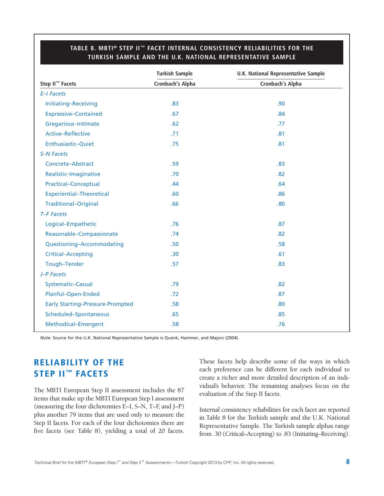|                                         | <b>Turkish Sample</b> | <b>U.K. National Representative Sample</b> |
|-----------------------------------------|-----------------------|--------------------------------------------|
| Step II <sup>™</sup> Facets             | Cronbach's Alpha      | Cronbach's Alpha                           |
| E-I Facets                              |                       |                                            |
| Initiating-Receiving                    | .83                   | .90                                        |
| <b>Expressive-Contained</b>             | .67                   | .84                                        |
| Gregarious-Intimate                     | .62                   | .77                                        |
| Active-Reflective                       | .71                   | .81                                        |
| Enthusiastic-Quiet                      | .75                   | .81                                        |
| <b>S-N Facets</b>                       |                       |                                            |
| Concrete-Abstract                       | .59                   | .83                                        |
| Realistic-Imaginative                   | .70                   | .82                                        |
| <b>Practical-Conceptual</b>             | .44                   | .64                                        |
| <b>Experiential-Theoretical</b>         | .60                   | .86                                        |
| <b>Traditional-Original</b>             | .66                   | .80                                        |
| T-F Facets                              |                       |                                            |
| Logical-Empathetic                      | .76                   | .87                                        |
| Reasonable-Compassionate                | .74                   | .82                                        |
| Questioning-Accommodating               | .50                   | .58                                        |
| <b>Critical-Accepting</b>               | .30                   | .61                                        |
| <b>Tough-Tender</b>                     | .57                   | .83                                        |
| J-P Facets                              |                       |                                            |
| Systematic-Casual                       | .79                   | .82                                        |
| Planful-Open-Ended                      | .72                   | .87                                        |
| <b>Early Starting-Pressure-Prompted</b> | .58                   | .80                                        |
| Scheduled-Spontaneous                   | .65                   | .85                                        |
| Methodical-Emergent                     | .58                   | .76                                        |

#### **TABLE 8. MBTI ® STEP II™ FACET INTERNAL CONSISTENCY RELIABILITIES FOR THE TURKISH SAMPLE AND THE U.K. NATIONAL REPRESENTATIVE SAMPLE**

*Note:* Source for the U.K. National Representative Sample is Quenk, Hammer, and Majors (2004).

## **RELIABILITY OF THE STEP II™ FACETS**

The MBTI European Step II assessment includes the 87 items that make up the MBTI European Step I assessment (measuring the four dichotomies E–I, S–N, T–F, and J–P) plus another 79 items that are used only to measure the Step II facets. For each of the four dichotomies there are five facets (see Table 8), yielding a total of 20 facets.

These facets help describe some of the ways in which each preference can be different for each individual to create a richer and more detailed description of an individual's behavior. The remaining analyses focus on the evaluation of the Step II facets.

Internal consistency reliabilities for each facet are reported in Table 8 for the Turkish sample and the U.K. National Representative Sample. The Turkish sample alphas range from .30 (Critical–Accepting) to .83 (Initiating–Receiving).